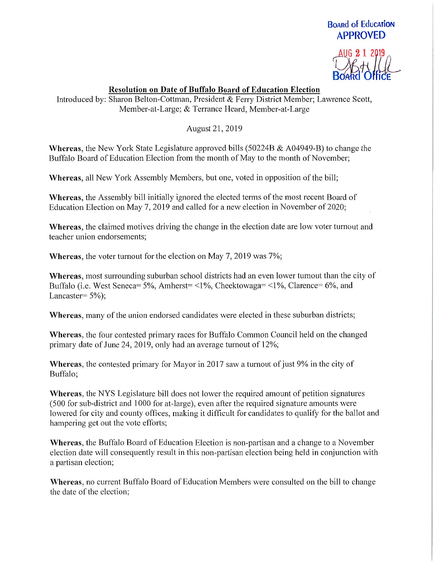## BoARd of EducATioN APPROVED



## Resolution on Date of Buffalo Board of Education Election

Introduced by: Sharon Belton-Cottman, President & Ferry District Member; Lawrence Scott, Member-at-Large; & Terrance Heard, Member-at-Large

August21,2019

Whereas, the New York State Legislature approved bills (50224B & A04949-B) to change the Buffalo Board of Education Election from the month of May to the month of November;

Whereas, all New York Assembly Members, but one, voted in opposition of the bill;

Whereas, the Assembly bill initially ignored the elected terms of the most recent Board of Education Election on May 7, 2019 and called for a new election in November of 2020;

Whereas, the claimed motives driving the change in the election date are low voter turnout and teacher union endorsements;

Whereas, the voter turnout for the election on May 7, 2019 was 7%;

Whereas, most surrounding suburban school districts had an even lower turnout than the city of Buffalo (i.e. West Seneca=  $5\%$ , Amherst= <1%, Cheektowaga= <1%, Clarence=  $6\%$ , and Lancaster=  $5\%$ ;

Whereas, many of the union endorsed candidates were elected in these suburban districts;

Whereas, the four contested primary races for Buffalo Common Council held on the changed primary date of June 24, 2019, only had an average turnout of 12%;

Whereas, the contested primary for Mayor in 2017 saw a turnout of just 9% in the city of Buffalo;

Whereas, the NYS Legislature bill does not lower the required amount of petition signatures (500 for sub-district and 1000 for at-large), even after the required signature amounts were lowered for city and county offices, making it difficult for candidates to qualify for the ballot and hampering get out the vote efforts;

Whereas, the Buffalo Board of Education Election is non-partisan and a change to a November election date will consequently result in this non-partisan election being held in conjunction with a partisan election;

Whereas, no current Buffalo Board of Education Members were consulted on the bill to change the date of the election;